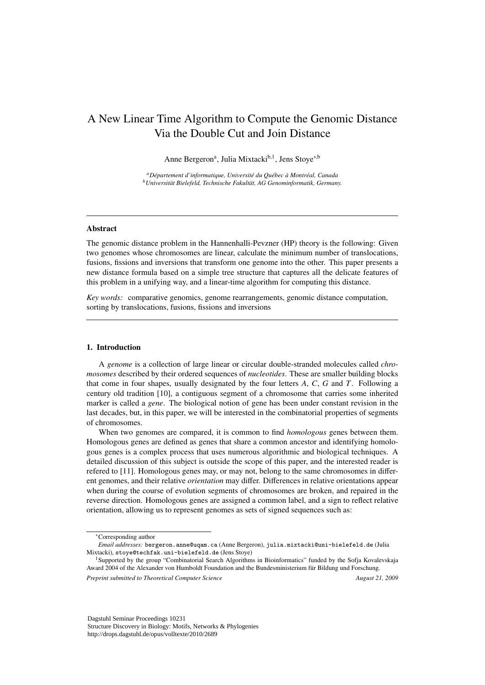# A New Linear Time Algorithm to Compute the Genomic Distance Via the Double Cut and Join Distance

Anne Bergeron<sup>a</sup>, Julia Mixtacki<sup>b,1</sup>, Jens Stoye<sup>\*,b</sup>

<sup>a</sup>Département d'informatique, Université du Québec à Montréal, Canada <sup>*b*</sup>Universität Bielefeld, Technische Fakultät, AG Genominformatik, Germany.

# Abstract

The genomic distance problem in the Hannenhalli-Pevzner (HP) theory is the following: Given two genomes whose chromosomes are linear, calculate the minimum number of translocations, fusions, fissions and inversions that transform one genome into the other. This paper presents a new distance formula based on a simple tree structure that captures all the delicate features of this problem in a unifying way, and a linear-time algorithm for computing this distance.

*Key words:* comparative genomics, genome rearrangements, genomic distance computation, sorting by translocations, fusions, fissions and inversions

### 1. Introduction

A *genome* is a collection of large linear or circular double-stranded molecules called *chromosomes* described by their ordered sequences of *nucleotides*. These are smaller building blocks that come in four shapes, usually designated by the four letters *A*, *C*, *G* and *T*. Following a century old tradition [10], a contiguous segment of a chromosome that carries some inherited marker is called a *gene*. The biological notion of gene has been under constant revision in the last decades, but, in this paper, we will be interested in the combinatorial properties of segments of chromosomes.

When two genomes are compared, it is common to find *homologous* genes between them. Homologous genes are defined as genes that share a common ancestor and identifying homologous genes is a complex process that uses numerous algorithmic and biological techniques. A detailed discussion of this subject is outside the scope of this paper, and the interested reader is refered to [11]. Homologous genes may, or may not, belong to the same chromosomes in different genomes, and their relative *orientation* may differ. Differences in relative orientations appear when during the course of evolution segments of chromosomes are broken, and repaired in the reverse direction. Homologous genes are assigned a common label, and a sign to reflect relative orientation, allowing us to represent genomes as sets of signed sequences such as:

<sup>∗</sup>Corresponding author

*Preprint submitted to Theoretical Computer Science August 21, 2009*

Dagstuhl Seminar Proceedings 10231 Structure Discovery in Biology: Motifs, Networks & Phylogenies http://drops.dagstuhl.de/opus/volltexte/2010/2689

*Email addresses:* bergeron.anne@uqam.ca (Anne Bergeron), julia.mixtacki@uni-bielefeld.de (Julia Mixtacki), stoye@techfak.uni-bielefeld.de (Jens Stoye)

<sup>&</sup>lt;sup>1</sup>Supported by the group "Combinatorial Search Algorithms in Bioinformatics" funded by the Sofja Kovalevskaja Award 2004 of the Alexander von Humboldt Foundation and the Bundesministerium für Bildung und Forschung.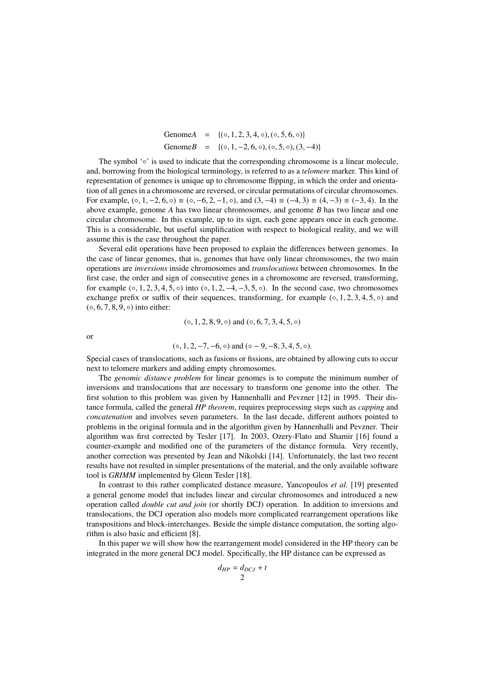$$
GenomeA = \{ (0, 1, 2, 3, 4, 0), (0, 5, 6, 0) \}
$$
\n
$$
GenomeB = \{ (0, 1, -2, 6, 0), (0, 5, 0), (3, -4) \}
$$

The symbol '∘' is used to indicate that the corresponding chromosome is a linear molecule, and, borrowing from the biological terminology, is referred to as a *telomere* marker. This kind of representation of genomes is unique up to chromosome flipping, in which the order and orientation of all genes in a chromosome are reversed, or circular permutations of circular chromosomes. For example,  $(\circ, 1, -2, 6, \circ) \equiv (\circ, -6, 2, -1, \circ)$ , and  $(3, -4) \equiv (-4, 3) \equiv (4, -3) \equiv (-3, 4)$ . In the above example, genome *A* has two linear chromosomes, and genome *B* has two linear and one circular chromosome. In this example, up to its sign, each gene appears once in each genome. This is a considerable, but useful simplification with respect to biological reality, and we will assume this is the case throughout the paper.

Several edit operations have been proposed to explain the differences between genomes. In the case of linear genomes, that is, genomes that have only linear chromosomes, the two main operations are *inversions* inside chromosomes and *translocations* between chromosomes. In the first case, the order and sign of consecutive genes in a chromosome are reversed, transforming, for example  $(○, 1, 2, 3, 4, 5, ∘)$  into  $(○, 1, 2, -4, -3, 5, ∘)$ . In the second case, two chromosomes exchange prefix or suffix of their sequences, transforming, for example  $(○, 1, 2, 3, 4, 5, ∘)$  and  $(0, 6, 7, 8, 9, 0)$  into either:

$$
(0, 1, 2, 8, 9, 0)
$$
 and  $(0, 6, 7, 3, 4, 5, 0)$ 

or

$$
(0, 1, 2, -7, -6, 0)
$$
 and  $(0, -9, -8, 3, 4, 5, 0)$ .

( $\circ$ , 1, 2, -7, -6,  $\circ$ ) and ( $\circ$  -9, -8, 3, 4, 5,  $\circ$ ).<br>Special cases of translocations, such as fusions or fissions, are obtained by allowing cuts to occur next to telomere markers and adding empty chromosomes.

The *genomic distance problem* for linear genomes is to compute the minimum number of inversions and translocations that are necessary to transform one genome into the other. The first solution to this problem was given by Hannenhalli and Pevzner [12] in 1995. Their distance formula, called the general *HP theorem*, requires preprocessing steps such as *capping* and *concatenation* and involves seven parameters. In the last decade, different authors pointed to problems in the original formula and in the algorithm given by Hannenhalli and Pevzner. Their algorithm was first corrected by Tesler [17]. In 2003, Ozery-Flato and Shamir [16] found a counter-example and modified one of the parameters of the distance formula. Very recently, another correction was presented by Jean and Nikolski [14]. Unfortunately, the last two recent results have not resulted in simpler presentations of the material, and the only available software tool is *GRIMM* implemented by Glenn Tesler [18].

In contrast to this rather complicated distance measure, Yancopoulos *et al.* [19] presented a general genome model that includes linear and circular chromosomes and introduced a new operation called *double cut and join* (or shortly DCJ) operation. In addition to inversions and translocations, the DCJ operation also models more complicated rearrangement operations like transpositions and block-interchanges. Beside the simple distance computation, the sorting algorithm is also basic and efficient [8].

In this paper we will show how the rearrangement model considered in the HP theory can be integrated in the more general DCJ model. Specifically, the HP distance can be expressed as

$$
d_{HP} = d_{DCJ} + t
$$
  
2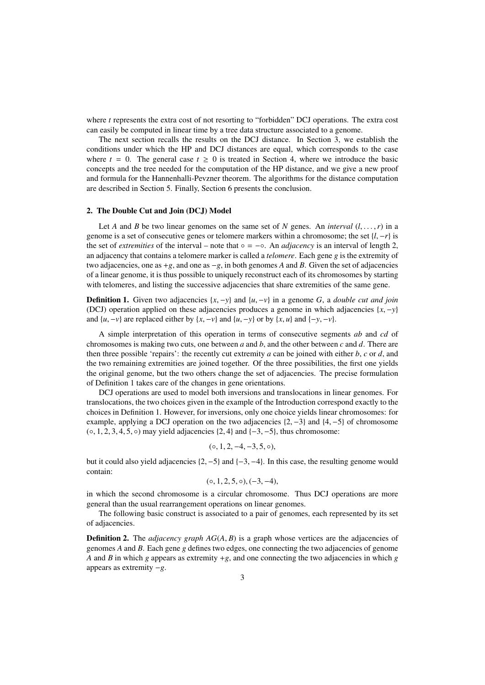where *t* represents the extra cost of not resorting to "forbidden" DCJ operations. The extra cost can easily be computed in linear time by a tree data structure associated to a genome.

The next section recalls the results on the DCJ distance. In Section 3, we establish the conditions under which the HP and DCJ distances are equal, which corresponds to the case where  $t = 0$ . The general case  $t \ge 0$  is treated in Section 4, where we introduce the basic concepts and the tree needed for the computation of the HP distance, and we give a new proof and formula for the Hannenhalli-Pevzner theorem. The algorithms for the distance computation are described in Section 5. Finally, Section 6 presents the conclusion.

#### 2. The Double Cut and Join (DCJ) Model

Let *A* and *B* be two linear genomes on the same set of *N* genes. An *interval*  $(l, \ldots, r)$  in a genome is a set of consecutive genes or telomere markers within a chromosome; the set {*l*, <sup>−</sup>*r*} is the set of *extremities* of the interval – note that  $\circ = -\circ$ . An *adjacency* is an interval of length 2, an adjacency that contains a telomere marker is called a *telomere*. Each gene *g* is the extremity of two adjacencies, one as +*g*, and one as −*g*, in both genomes *A* and *B*. Given the set of adjacencies of a linear genome, it is thus possible to uniquely reconstruct each of its chromosomes by starting with telomeres, and listing the successive adjacencies that share extremities of the same gene.

**Definition 1.** Given two adjacencies  $\{x, -y\}$  and  $\{u, -v\}$  in a genome *G*, a *double cut and join* (DCJ) operation applied on these adjacencies produces a genome in which adjacencies {*x*, <sup>−</sup>*y*} and  $\{u, -v\}$  are replaced either by  $\{x, -v\}$  and  $\{u, -y\}$  or by  $\{x, u\}$  and  $\{-y, -v\}$ .

A simple interpretation of this operation in terms of consecutive segments *ab* and *cd* of chromosomes is making two cuts, one between *a* and *b*, and the other between *c* and *d*. There are then three possible 'repairs': the recently cut extremity *a* can be joined with either *b*, *c* or *d*, and the two remaining extremities are joined together. Of the three possibilities, the first one yields the original genome, but the two others change the set of adjacencies. The precise formulation of Definition 1 takes care of the changes in gene orientations.

DCJ operations are used to model both inversions and translocations in linear genomes. For translocations, the two choices given in the example of the Introduction correspond exactly to the choices in Definition 1. However, for inversions, only one choice yields linear chromosomes: for example, applying a DCJ operation on the two adjacencies  $\{2, -3\}$  and  $\{4, -5\}$  of chromosome ( $\circ$ , 1, 2, 3, 4, 5,  $\circ$ ) may yield adjacencies {2, 4} and {−3, −5}, thus chromosome:

$$
(\circ, 1, 2, -4, -3, 5, \circ),
$$

but it could also yield adjacencies {2, <sup>−</sup>5} and {−3, <sup>−</sup>4}. In this case, the resulting genome would contain:

$$
(\circ, 1, 2, 5, \circ), (-3, -4),
$$

in which the second chromosome is a circular chromosome. Thus DCJ operations are more general than the usual rearrangement operations on linear genomes.

The following basic construct is associated to a pair of genomes, each represented by its set of adjacencies.

**Definition 2.** The *adjacency graph AG(A, B)* is a graph whose vertices are the adjacencies of genomes *A* and *B*. Each gene *g* defines two edges, one connecting the two adjacencies of genome *A* and *B* in which *g* appears as extremity  $+g$ , and one connecting the two adjacencies in which *g* appears as extremity −*g*.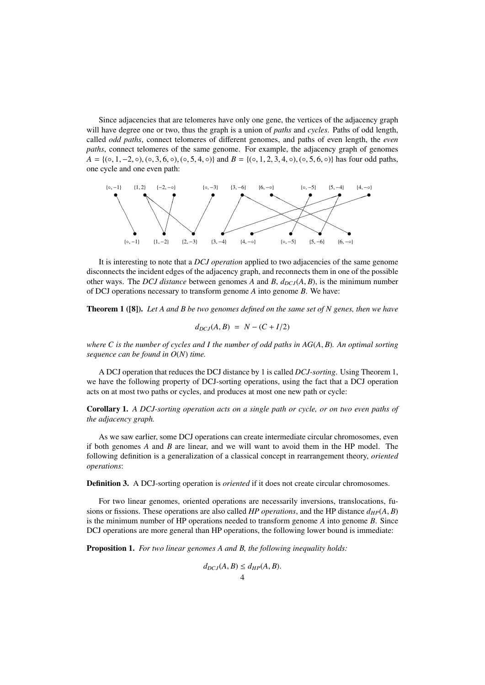Since adjacencies that are telomeres have only one gene, the vertices of the adjacency graph will have degree one or two, thus the graph is a union of *paths* and *cycles*. Paths of odd length, called *odd paths*, connect telomeres of different genomes, and paths of even length, the *even paths*, connect telomeres of the same genome. For example, the adjacency graph of genomes *A* = {(**⊙**, 1, -2, **○**), (**⊙**, 3, 6, **○**), (**○**, 5, 4, **○**)} and *B* = {(**○**, 1, 2, 3, 4, **○**), (**○**, 5, 6, **○**)} has four odd paths, one cycle and one even path:



It is interesting to note that a *DCJ operation* applied to two adjacencies of the same genome disconnects the incident edges of the adjacency graph, and reconnects them in one of the possible other ways. The *DCJ distance* between genomes *A* and *B*,  $d_{DCJ}(A, B)$ , is the minimum number of DCJ operations necessary to transform genome *A* into genome *B*. We have:

Theorem 1 ([8]). *Let A and B be two genomes defined on the same set of N genes, then we have*

$$
d_{DCJ}(A, B) = N - (C + I/2)
$$

*where C is the number of cycles and I the number of odd paths in AG*(*A*, *<sup>B</sup>*)*. An optimal sorting sequence can be found in O*(*N*) *time.*

A DCJ operation that reduces the DCJ distance by 1 is called *DCJ-sorting*. Using Theorem 1, we have the following property of DCJ-sorting operations, using the fact that a DCJ operation acts on at most two paths or cycles, and produces at most one new path or cycle:

Corollary 1. *A DCJ-sorting operation acts on a single path or cycle, or on two even paths of the adjacency graph.*

As we saw earlier, some DCJ operations can create intermediate circular chromosomes, even if both genomes *A* and *B* are linear, and we will want to avoid them in the HP model. The following definition is a generalization of a classical concept in rearrangement theory, *oriented operations*:

**Definition 3.** A DCJ-sorting operation is *oriented* if it does not create circular chromosomes.

For two linear genomes, oriented operations are necessarily inversions, translocations, fusions or fissions. These operations are also called *HP operations*, and the HP distance  $d_{HP}(A, B)$ is the minimum number of HP operations needed to transform genome *A* into genome *B*. Since DCJ operations are more general than HP operations, the following lower bound is immediate:

Proposition 1. *For two linear genomes A and B, the following inequality holds:*

$$
d_{DCJ}(A, B) \le d_{HP}(A, B).
$$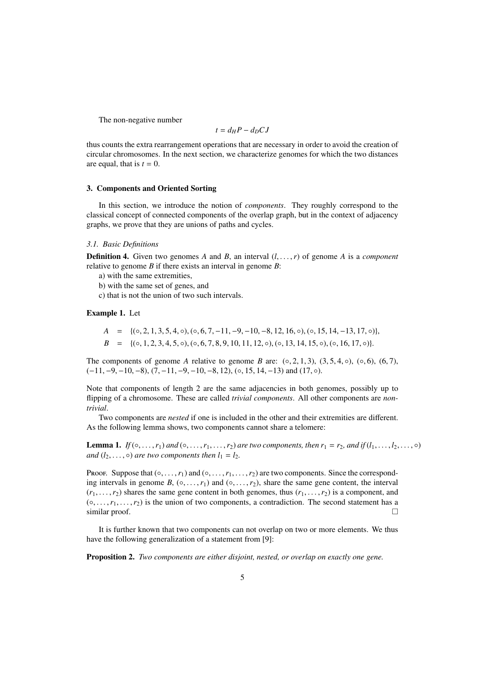The non-negative number

$$
t = d_H P - d_D C J
$$

thus counts the extra rearrangement operations that are necessary in order to avoid the creation of circular chromosomes. In the next section, we characterize genomes for which the two distances are equal, that is  $t = 0$ .

#### 3. Components and Oriented Sorting

In this section, we introduce the notion of *components*. They roughly correspond to the classical concept of connected components of the overlap graph, but in the context of adjacency graphs, we prove that they are unions of paths and cycles.

# *3.1. Basic Definitions*

**Definition 4.** Given two genomes A and B, an interval  $(l, \ldots, r)$  of genome A is a *component* relative to genome *B* if there exists an interval in genome *B*:

- a) with the same extremities,
- b) with the same set of genes, and

c) that is not the union of two such intervals.

Example 1. Let

$$
A = \{ (\circ, 2, 1, 3, 5, 4, \circ), (\circ, 6, 7, -11, -9, -10, -8, 12, 16, \circ), (\circ, 15, 14, -13, 17, \circ) \},
$$

*B* = {(**○**, 1, 2, 3, 4, 5, ○), (**○**, 6, 7, 8, 9, 10, 11, 12, ○), (**○**, 13, 14, 15, ○), (**○**, 16, 17, ○)}.

The components of genome *A* relative to genome *B* are:  $(○, 2, 1, 3)$ ,  $(3, 5, 4, ∘)$ ,  $(○, 6)$ ,  $(6, 7)$ ,  $(-11, -9, -10, -8)$ ,  $(7, -11, -9, -10, -8, 12)$ ,  $(\circ, 15, 14, -13)$  and  $(17, \circ)$ .

Note that components of length 2 are the same adjacencies in both genomes, possibly up to flipping of a chromosome. These are called *trivial components*. All other components are *nontrivial*.

Two components are *nested* if one is included in the other and their extremities are different. As the following lemma shows, two components cannot share a telomere:

**Lemma 1.** *If* ( $\circ$ , . . . ,  $r_1$ ) *and* ( $\circ$ , . . . ,  $r_1$ , . . . ,  $r_2$ ) *are two components, then*  $r_1 = r_2$ *, and if* ( $l_1$ , . . . ,  $l_2$ , . . . ,  $\circ$ ) *and*  $(l_2, \ldots, \circ)$  *are two components then*  $l_1 = l_2$ *.* 

PROOF. Suppose that  $(\circ, \ldots, r_1)$  and  $(\circ, \ldots, r_1, \ldots, r_2)$  are two components. Since the corresponding intervals in genome  $B$ ,  $(\circ, \ldots, r_1)$  and  $(\circ, \ldots, r_2)$ , share the same gene content, the interval  $(r_1, \ldots, r_2)$  shares the same gene content in both genomes, thus  $(r_1, \ldots, r_2)$  is a component, and  $(0, \ldots, r_1, \ldots, r_2)$  is the union of two components, a contradiction. The second statement has a similar proof similar proof.

It is further known that two components can not overlap on two or more elements. We thus have the following generalization of a statement from [9]:

Proposition 2. *Two components are either disjoint, nested, or overlap on exactly one gene.*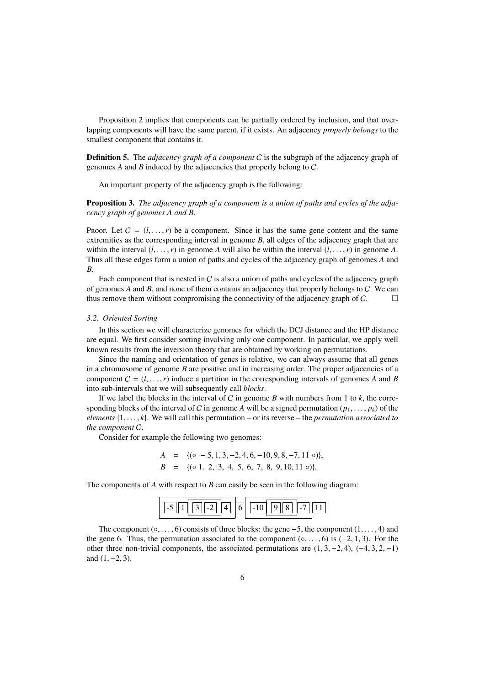Proposition 2 implies that components can be partially ordered by inclusion, and that overlapping components will have the same parent, if it exists. An adjacency *properly belongs* to the smallest component that contains it.

Definition 5. The *adjacency graph of a component* C is the subgraph of the adjacency graph of genomes *A* and *B* induced by the adjacencies that properly belong to C.

An important property of the adjacency graph is the following:

Proposition 3. *The adjacency graph of a component is a union of paths and cycles of the adjacency graph of genomes A and B.*

**PROOF.** Let  $C = (l, \ldots, r)$  be a component. Since it has the same gene content and the same extremities as the corresponding interval in genome *B*, all edges of the adjacency graph that are within the interval  $(l, \ldots, r)$  in genome *A* will also be within the interval  $(l, \ldots, r)$  in genome *A*. Thus all these edges form a union of paths and cycles of the adjacency graph of genomes *A* and *B*.

Each component that is nested in  $C$  is also a union of paths and cycles of the adjacency graph of genomes *A* and *B*, and none of them contains an adjacency that properly belongs to C. We can thus remove them without compromising the connectivity of the adjacency graph of  $C$ .

## *3.2. Oriented Sorting*

In this section we will characterize genomes for which the DCJ distance and the HP distance are equal. We first consider sorting involving only one component. In particular, we apply well known results from the inversion theory that are obtained by working on permutations.

Since the naming and orientation of genes is relative, we can always assume that all genes in a chromosome of genome *B* are positive and in increasing order. The proper adjacencies of a component  $C = (l, \ldots, r)$  induce a partition in the corresponding intervals of genomes *A* and *B* into sub-intervals that we will subsequently call *blocks*.

If we label the blocks in the interval of  $C$  in genome  $B$  with numbers from 1 to  $k$ , the corresponding blocks of the interval of C in genome A will be a signed permutation  $(p_1, \ldots, p_k)$  of the *elements* {1, . . . , *<sup>k</sup>*}. We will call this permutation – or its reverse – the *permutation associated to the component* C.

Consider for example the following two genomes:

$$
A = \{ (\circ -5, 1, 3, -2, 4, 6, -10, 9, 8, -7, 11 \circ ) \},\
$$
  

$$
B = \{ (\circ 1, 2, 3, 4, 5, 6, 7, 8, 9, 10, 11 \circ ) \}.
$$

The components of *A* with respect to *B* can easily be seen in the following diagram:



The component  $(\circ, \ldots, \circ)$  consists of three blocks: the gene -5, the component  $(1, \ldots, 4)$  and the gene 6. Thus, the permutation associated to the component  $(∘, …, 6)$  is  $(−2, 1, 3)$ . For the other three non-trivial components, the associated permutations are  $(1, 3, -2, 4)$ ,  $(-4, 3, 2, -1)$ and  $(1, -2, 3)$ .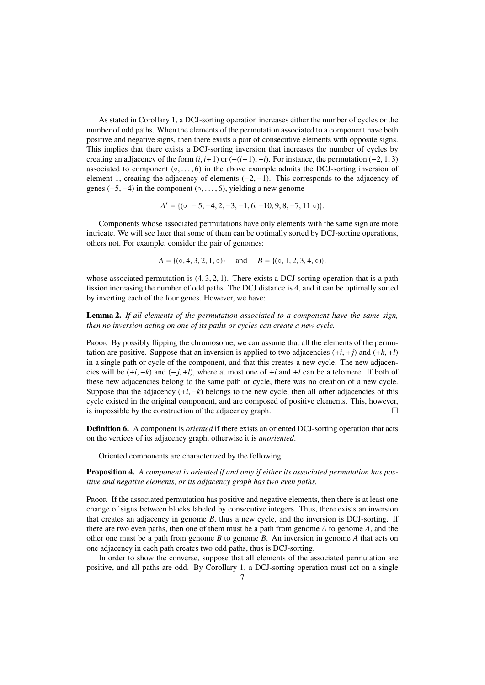As stated in Corollary 1, a DCJ-sorting operation increases either the number of cycles or the number of odd paths. When the elements of the permutation associated to a component have both positive and negative signs, then there exists a pair of consecutive elements with opposite signs. This implies that there exists a DCJ-sorting inversion that increases the number of cycles by creating an adjacency of the form  $(i, i+1)$  or  $(-(i+1), -i)$ . For instance, the permutation  $(-2, 1, 3)$ associated to component  $(•, \ldots, 6)$  in the above example admits the DCJ-sorting inversion of element 1, creating the adjacency of elements  $(-2, -1)$ . This corresponds to the adjacency of genes  $(-5, -4)$  in the component  $(\circ, \ldots, 6)$ , yielding a new genome

$$
A' = \{ (\circ -5, -4, 2, -3, -1, 6, -10, 9, 8, -7, 11 \circ ) \}.
$$

Components whose associated permutations have only elements with the same sign are more intricate. We will see later that some of them can be optimally sorted by DCJ-sorting operations, others not. For example, consider the pair of genomes:

$$
A = \{ (\circ, 4, 3, 2, 1, \circ) \} \text{ and } B = \{ (\circ, 1, 2, 3, 4, \circ) \},
$$

whose associated permutation is  $(4, 3, 2, 1)$ . There exists a DCJ-sorting operation that is a path fission increasing the number of odd paths. The DCJ distance is 4, and it can be optimally sorted by inverting each of the four genes. However, we have:

# Lemma 2. *If all elements of the permutation associated to a component have the same sign, then no inversion acting on one of its paths or cycles can create a new cycle.*

Proof. By possibly flipping the chromosome, we can assume that all the elements of the permutation are positive. Suppose that an inversion is applied to two adjacencies  $(+i, +j)$  and  $(+k, +l)$ in a single path or cycle of the component, and that this creates a new cycle. The new adjacencies will be  $(+i, -k)$  and  $(-i, +l)$ , where at most one of  $+i$  and  $+l$  can be a telomere. If both of these new adjacencies belong to the same path or cycle, there was no creation of a new cycle. Suppose that the adjacency  $(+i, -k)$  belongs to the new cycle, then all other adjacencies of this cycle existed in the original component, and are composed of positive elements. This, however, is impossible by the construction of the adjacency graph.

Definition 6. A component is *oriented* if there exists an oriented DCJ-sorting operation that acts on the vertices of its adjacency graph, otherwise it is *unoriented*.

Oriented components are characterized by the following:

Proposition 4. *A component is oriented if and only if either its associated permutation has positive and negative elements, or its adjacency graph has two even paths.*

PROOF. If the associated permutation has positive and negative elements, then there is at least one change of signs between blocks labeled by consecutive integers. Thus, there exists an inversion that creates an adjacency in genome *B*, thus a new cycle, and the inversion is DCJ-sorting. If there are two even paths, then one of them must be a path from genome *A* to genome *A*, and the other one must be a path from genome *B* to genome *B*. An inversion in genome *A* that acts on one adjacency in each path creates two odd paths, thus is DCJ-sorting.

In order to show the converse, suppose that all elements of the associated permutation are positive, and all paths are odd. By Corollary 1, a DCJ-sorting operation must act on a single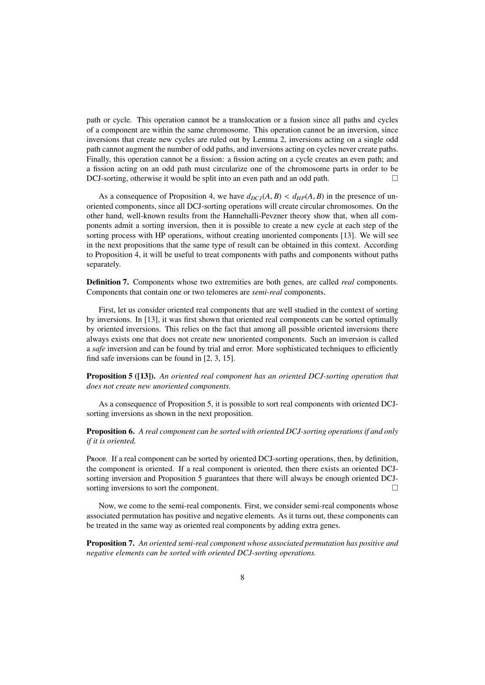path or cycle. This operation cannot be a translocation or a fusion since all paths and cycles of a component are within the same chromosome. This operation cannot be an inversion, since inversions that create new cycles are ruled out by Lemma 2, inversions acting on a single odd path cannot augment the number of odd paths, and inversions acting on cycles never create paths. Finally, this operation cannot be a fission: a fission acting on a cycle creates an even path; and a fission acting on an odd path must circularize one of the chromosome parts in order to be DCJ-sorting, otherwise it would be split into an even path and an odd path.

As a consequence of Proposition 4, we have  $d_{DC}(A, B) < d_{HP}(A, B)$  in the presence of unoriented components, since all DCJ-sorting operations will create circular chromosomes. On the other hand, well-known results from the Hannehalli-Pevzner theory show that, when all components admit a sorting inversion, then it is possible to create a new cycle at each step of the sorting process with HP operations, without creating unoriented components [13]. We will see in the next propositions that the same type of result can be obtained in this context. According to Proposition 4, it will be useful to treat components with paths and components without paths separately.

Definition 7. Components whose two extremities are both genes, are called *real* components. Components that contain one or two telomeres are *semi-real* components.

First, let us consider oriented real components that are well studied in the context of sorting by inversions. In [13], it was first shown that oriented real components can be sorted optimally by oriented inversions. This relies on the fact that among all possible oriented inversions there always exists one that does not create new unoriented components. Such an inversion is called a *safe* inversion and can be found by trial and error. More sophisticated techniques to efficiently find safe inversions can be found in [2, 3, 15].

Proposition 5 ([13]). *An oriented real component has an oriented DCJ-sorting operation that does not create new unoriented components.*

As a consequence of Proposition 5, it is possible to sort real components with oriented DCJsorting inversions as shown in the next proposition.

Proposition 6. *A real component can be sorted with oriented DCJ-sorting operations if and only if it is oriented.*

PROOF. If a real component can be sorted by oriented DCJ-sorting operations, then, by definition, the component is oriented. If a real component is oriented, then there exists an oriented DCJsorting inversion and Proposition 5 guarantees that there will always be enough oriented DCJsorting inversions to sort the component.

Now, we come to the semi-real components. First, we consider semi-real components whose associated permutation has positive and negative elements. As it turns out, these components can be treated in the same way as oriented real components by adding extra genes.

Proposition 7. *An oriented semi-real component whose associated permutation has positive and negative elements can be sorted with oriented DCJ-sorting operations.*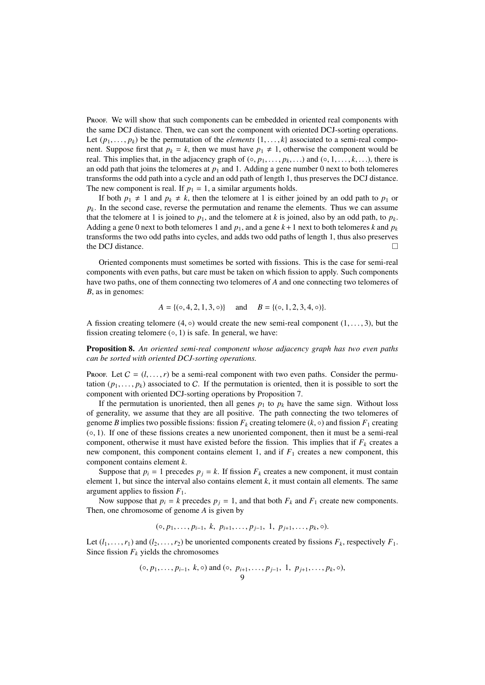PROOF. We will show that such components can be embedded in oriented real components with the same DCJ distance. Then, we can sort the component with oriented DCJ-sorting operations. Let  $(p_1, \ldots, p_k)$  be the permutation of the *elements*  $\{1, \ldots, k\}$  associated to a semi-real component. Suppose first that  $p_k = k$ , then we must have  $p_1 \neq 1$ , otherwise the component would be real. This implies that, in the adjacency graph of  $(\circ, p_1, \ldots, p_k, \ldots)$  and  $(\circ, 1, \ldots, k, \ldots)$ , there is an odd path that joins the telomeres at  $p_1$  and 1. Adding a gene number 0 next to both telomeres transforms the odd path into a cycle and an odd path of length 1, thus preserves the DCJ distance. The new component is real. If  $p_1 = 1$ , a similar arguments holds.

If both  $p_1 \neq 1$  and  $p_k \neq k$ , then the telomere at 1 is either joined by an odd path to  $p_1$  or  $p_k$ . In the second case, reverse the permutation and rename the elements. Thus we can assume that the telomere at 1 is joined to  $p_1$ , and the telomere at *k* is joined, also by an odd path, to  $p_k$ . Adding a gene 0 next to both telomeres 1 and  $p_1$ , and a gene  $k+1$  next to both telomeres  $k$  and  $p_k$ transforms the two odd paths into cycles, and adds two odd paths of length 1, thus also preserves the DCJ distance.

Oriented components must sometimes be sorted with fissions. This is the case for semi-real components with even paths, but care must be taken on which fission to apply. Such components have two paths, one of them connecting two telomeres of *A* and one connecting two telomeres of *B*, as in genomes:

$$
A = \{ (\circ, 4, 2, 1, 3, \circ) \} \quad \text{and} \quad B = \{ (\circ, 1, 2, 3, 4, \circ) \}.
$$

A fission creating telomere  $(4, \circ)$  would create the new semi-real component  $(1, \ldots, 3)$ , but the fission creating telomere  $(○, 1)$  is safe. In general, we have:

Proposition 8. *An oriented semi-real component whose adjacency graph has two even paths can be sorted with oriented DCJ-sorting operations.*

Proof. Let  $C = (l, \ldots, r)$  be a semi-real component with two even paths. Consider the permutation  $(p_1, \ldots, p_k)$  associated to C. If the permutation is oriented, then it is possible to sort the component with oriented DCJ-sorting operations by Proposition 7.

If the permutation is unoriented, then all genes  $p_1$  to  $p_k$  have the same sign. Without loss of generality, we assume that they are all positive. The path connecting the two telomeres of genome *B* implies two possible fissions: fission  $F_k$  creating telomere (*k*,  $\circ$ ) and fission  $F_1$  creating (◦, 1). If one of these fissions creates a new unoriented component, then it must be a semi-real component, otherwise it must have existed before the fission. This implies that if  $F_k$  creates a new component, this component contains element 1, and if  $F_1$  creates a new component, this component contains element *k*.

Suppose that  $p_i = 1$  precedes  $p_j = k$ . If fission  $F_k$  creates a new component, it must contain element 1, but since the interval also contains element *k*, it must contain all elements. The same argument applies to fission  $F_1$ .

Now suppose that  $p_i = k$  precedes  $p_i = 1$ , and that both  $F_k$  and  $F_1$  create new components. Then, one chromosome of genome *A* is given by

$$
(\circ, p_1, \ldots, p_{i-1}, k, p_{i+1}, \ldots, p_{j-1}, 1, p_{j+1}, \ldots, p_k, \circ).
$$

Let  $(l_1, \ldots, r_1)$  and  $(l_2, \ldots, r_2)$  be unoriented components created by fissions  $F_k$ , respectively  $F_1$ . Since fission  $F_k$  yields the chromosomes

$$
(\circ, p_1, \ldots, p_{i-1}, k, \circ)
$$
 and  $(\circ, p_{i+1}, \ldots, p_{j-1}, 1, p_{j+1}, \ldots, p_k, \circ),$  9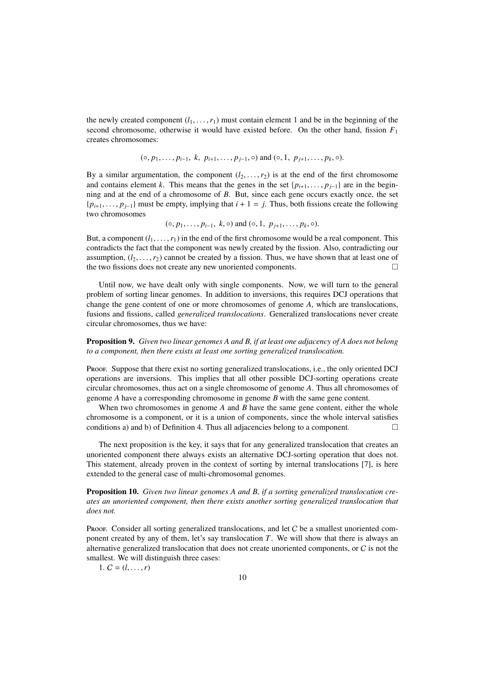the newly created component  $(l_1, \ldots, r_1)$  must contain element 1 and be in the beginning of the second chromosome, otherwise it would have existed before. On the other hand, fission  $F_1$ creates chromosomes:

$$
(o, p_1, \ldots, p_{i-1}, k, p_{i+1}, \ldots, p_{j-1}, o)
$$
 and  $(o, 1, p_{j+1}, \ldots, p_k, o)$ .

By a similar argumentation, the component  $(l_2, \ldots, r_2)$  is at the end of the first chromosome and contains element *k*. This means that the genes in the set  $\{p_{i+1}, \ldots, p_{i-1}\}$  are in the beginning and at the end of a chromosome of *B*. But, since each gene occurs exactly once, the set  ${p_{i+1}, \ldots, p_{j-1}}$  must be empty, implying that  $i + 1 = j$ . Thus, both fissions create the following two chromosomes

 $( \circ, p_1, \ldots, p_{i-1}, k, \circ )$  and  $( \circ, 1, p_{i+1}, \ldots, p_k, \circ ).$ 

But, a component  $(l_1, \ldots, r_1)$  in the end of the first chromosome would be a real component. This contradicts the fact that the component was newly created by the fission. Also, contradicting our assumption,  $(l_2, \ldots, r_2)$  cannot be created by a fission. Thus, we have shown that at least one of the two fissions does not create any new unoriented components.

Until now, we have dealt only with single components. Now, we will turn to the general problem of sorting linear genomes. In addition to inversions, this requires DCJ operations that change the gene content of one or more chromosomes of genome *A*, which are translocations, fusions and fissions, called *generalized translocations*. Generalized translocations never create circular chromosomes, thus we have:

# Proposition 9. *Given two linear genomes A and B, if at least one adjacency of A does not belong to a component, then there exists at least one sorting generalized translocation.*

Proof. Suppose that there exist no sorting generalized translocations, i.e., the only oriented DCJ operations are inversions. This implies that all other possible DCJ-sorting operations create circular chromosomes, thus act on a single chromosome of genome *A*. Thus all chromosomes of genome *A* have a corresponding chromosome in genome *B* with the same gene content.

When two chromosomes in genome *A* and *B* have the same gene content, either the whole chromosome is a component, or it is a union of components, since the whole interval satisfies conditions a) and b) of Definition 4. Thus all adjacencies belong to a component.  $\Box$ 

The next proposition is the key, it says that for any generalized translocation that creates an unoriented component there always exists an alternative DCJ-sorting operation that does not. This statement, already proven in the context of sorting by internal translocations [7], is here extended to the general case of multi-chromosomal genomes.

Proposition 10. *Given two linear genomes A and B, if a sorting generalized translocation creates an unoriented component, then there exists another sorting generalized translocation that does not.*

PROOF. Consider all sorting generalized translocations, and let  $C$  be a smallest unoriented component created by any of them, let's say translocation *T*. We will show that there is always an alternative generalized translocation that does not create unoriented components, or  $C$  is not the smallest. We will distinguish three cases:

1.  $C = (l, \ldots, r)$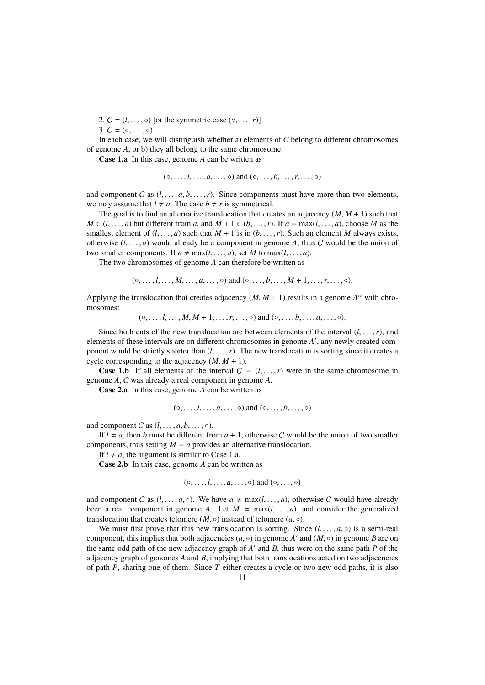2.  $C = (l, \ldots, \circ)$  [or the symmetric case  $(\circ, \ldots, r)$ ]

3.  $C = (0, \ldots, 0)$ 

In each case, we will distinguish whether a) elements of  $C$  belong to different chromosomes of genome *A*, or b) they all belong to the same chromosome.

Case 1.a In this case, genome *A* can be written as

$$
(\circ,\ldots,l,\ldots,a,\ldots,\circ)
$$
 and  $(\circ,\ldots,b,\ldots,r,\ldots,\circ)$ 

and component C as  $(l, \ldots, a, b, \ldots, r)$ . Since components must have more than two elements, we may assume that  $l \neq a$ . The case  $b \neq r$  is symmetrical.

The goal is to find an alternative translocation that creates an adjacency  $(M, M + 1)$  such that  $M \in (l, \ldots, a)$  but different from *a*, and  $M + 1 \in (b, \ldots, r)$ . If  $a = \max(l, \ldots, a)$ , choose *M* as the smallest element of  $(l, \ldots, a)$  such that  $M + 1$  is in  $(b, \ldots, r)$ . Such an element *M* always exists, otherwise  $(l, \ldots, a)$  would already be a component in genome A, thus C would be the union of two smaller components. If  $a \neq max(l, \ldots, a)$ , set *M* to max $(l, \ldots, a)$ .

The two chromosomes of genome *A* can therefore be written as

$$
(\circ,\ldots,l,\ldots,M,\ldots,a,\ldots,\circ)
$$
 and  $(\circ,\ldots,b,\ldots,M+1,\ldots,r,\ldots,\circ)$ .

Applying the translocation that creates adjacency  $(M, M + 1)$  results in a genome *A*<sup>*''*</sup> with chro-mosomes: mosomes:

 $(0, \ldots, l, \ldots, M, M + 1, \ldots, r, \ldots, \circ)$  and  $(0, \ldots, b, \ldots, a, \ldots, \circ)$ .

Since both cuts of the new translocation are between elements of the interval  $(l, \ldots, r)$ , and elements of these intervals are on different chromosomes in genome A', any newly created component would be strictly shorter than  $(l, \ldots, r)$ . The new translocation is sorting since it creates a cycle corresponding to the adjacency  $(M, M + 1)$ .

**Case 1.b** If all elements of the interval  $C = (l, ..., r)$  were in the same chromosome in genome *A*, C was already a real component in genome *A*.

Case 2.a In this case, genome *A* can be written as

$$
(\circ,\ldots,l,\ldots,a,\ldots,\circ)
$$
 and  $(\circ,\ldots,b,\ldots,\circ)$ 

and component C as  $(l, \ldots, a, b, \ldots, \circ)$ .

If  $l = a$ , then *b* must be different from  $a + 1$ , otherwise *C* would be the union of two smaller components, thus setting  $M = a$  provides an alternative translocation.

If  $l \neq a$ , the argument is similar to Case 1.a.

Case 2.b In this case, genome *A* can be written as

 $(0, \ldots, l, \ldots, a, \ldots, o)$  and  $(0, \ldots, o)$ 

and component C as  $(l, \ldots, a, \circ)$ . We have  $a \neq \max(l, \ldots, a)$ , otherwise C would have already been a real component in genome *A*. Let  $M = \max(l, \ldots, a)$ , and consider the generalized translocation that creates telomere  $(M, \circ)$  instead of telomere  $(a, \circ)$ .

We must first prove that this new translocation is sorting. Since  $(l, \ldots, a, \circ)$  is a semi-real component, this implies that both adjacencies  $(a, \circ)$  in genome *A'* and  $(M, \circ)$  in genome *B* are on the same odd path of the new adjacency graph of *A'* and *B* thus were on the same path *P* of the the same odd path of the new adjacency graph of  $A'$  and  $B$ , thus were on the same path  $P$  of the adjacency graph of genomes *A* and *B*, implying that both translocations acted on two adjacencies of path *P*, sharing one of them. Since *T* either creates a cycle or two new odd paths, it is also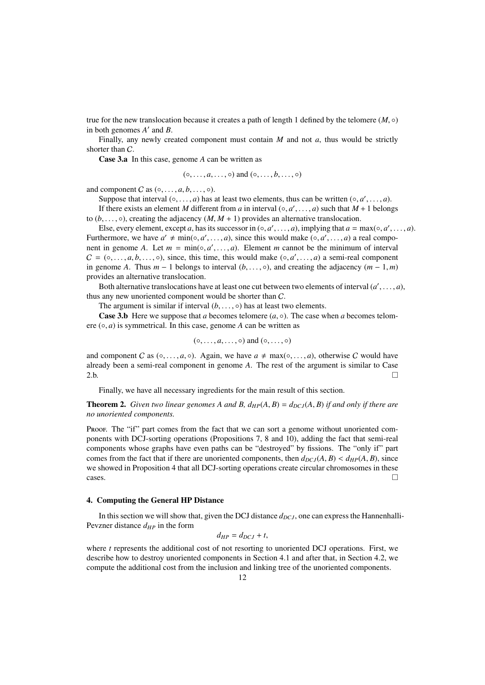true for the new translocation because it creates a path of length 1 defined by the telomere  $(M, \circ)$ in both genomes  $A'$  and  $B$ .

Finally, any newly created component must contain *M* and not *a*, thus would be strictly shorter than C.

Case 3.a In this case, genome *A* can be written as

$$
(\circ,\ldots,a,\ldots,\circ)
$$
 and  $(\circ,\ldots,b,\ldots,\circ)$ 

and component C as  $(\circ, \ldots, a, b, \ldots, \circ)$ .

Suppose that interval  $(\circ, \ldots, a)$  has at least two elements, thus can be written  $(\circ, a', \ldots, a)$ .<br>If there exists an element M different from a in interval  $(\circ, a', \ldots, a)$  such that  $M + 1$  belon If there exists an element *M* different from *a* in interval  $(\circ, a', \dots, a)$  such that  $M + 1$  belongs<br>b  $\circ$   $\circ$  creating the adiacency  $(M, M + 1)$  provides an alternative translocation

to  $(b, \ldots, \circ)$ , creating the adjacency  $(M, M + 1)$  provides an alternative translocation.

Else, every element, except *a*, has its successor in  $(\circ, a', \dots, a)$ , implying that  $a = \max(\circ, a', \dots, a)$ .<br>thermore, we have  $a' + \min(\circ, a', \dots, a)$  since this would make  $(\circ, a', \dots, a)$  a real compo-Furthermore, we have  $a' \neq \min(o, a', \ldots, a)$ , since this would make  $(o, a', \ldots, a)$  a real compo-<br>nent in genome  $A$ . Let  $m = \min(o, a', \ldots, a)$ . Element m cannot be the minimum of interval nent in genome *A*. Let  $m = \min(\circ, a', \dots, a)$ . Element *m* cannot be the minimum of interval  $C = (°, ..., a, b, ..., o)$ , since, this time, this would make  $(°, a', ..., a)$  a semi-real component<br>in genome A. Thus  $m - 1$  belongs to interval  $(b \t o)$  and creating the adiacency  $(m - 1, m)$ in genome *A*. Thus  $m - 1$  belongs to interval  $(b, \ldots, \circ)$ , and creating the adjacency  $(m - 1, m)$ provides an alternative translocation.

Both alternative translocations have at least one cut between two elements of interval  $(a', \ldots, a)$ ,<br>s any new unoriented component would be shorter than C thus any new unoriented component would be shorter than C.

The argument is similar if interval  $(b, \ldots, \circ)$  has at least two elements.

**Case 3.b** Here we suppose that *a* becomes telomere  $(a, \circ)$ . The case when *a* becomes telomere (◦, *<sup>a</sup>*) is symmetrical. In this case, genome *<sup>A</sup>* can be written as

$$
(\circ,\ldots,a,\ldots,\circ)
$$
 and  $(\circ,\ldots,\circ)$ 

and component C as  $(\circ, \ldots, a, \circ)$ . Again, we have  $a \neq \max(\circ, \ldots, a)$ , otherwise C would have already been a semi-real component in genome *A*. The rest of the argument is similar to Case  $2.b.$ 

Finally, we have all necessary ingredients for the main result of this section.

**Theorem 2.** *Given two linear genomes A and B,*  $d_{HP}(A, B) = d_{DCJ}(A, B)$  *if and only if there are no unoriented components.*

Proof. The "if" part comes from the fact that we can sort a genome without unoriented components with DCJ-sorting operations (Propositions 7, 8 and 10), adding the fact that semi-real components whose graphs have even paths can be "destroyed" by fissions. The "only if" part comes from the fact that if there are unoriented components, then  $d_{DCJ}(A, B) < d_{HP}(A, B)$ , since we showed in Proposition 4 that all DCJ-sorting operations create circular chromosomes in these  $\Box$ 

## 4. Computing the General HP Distance

In this section we will show that, given the DCJ distance  $d_{DCI}$ , one can express the Hannenhalli-Pevzner distance *dHP* in the form

$$
d_{HP} = d_{DCJ} + t,
$$

where *t* represents the additional cost of not resorting to unoriented DCJ operations. First, we describe how to destroy unoriented components in Section 4.1 and after that, in Section 4.2, we compute the additional cost from the inclusion and linking tree of the unoriented components.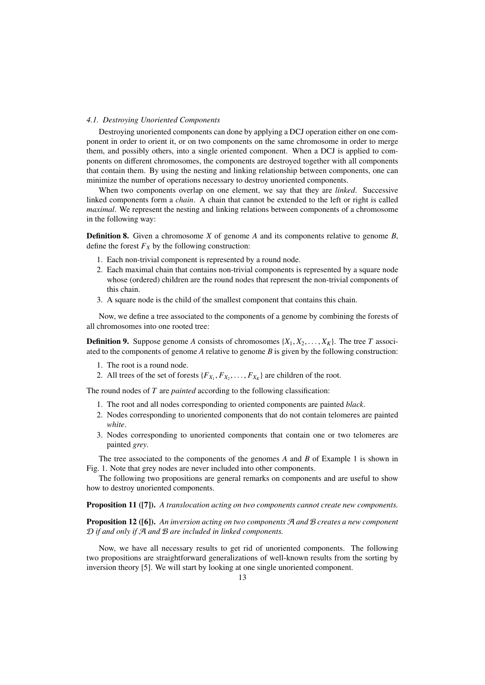#### *4.1. Destroying Unoriented Components*

Destroying unoriented components can done by applying a DCJ operation either on one component in order to orient it, or on two components on the same chromosome in order to merge them, and possibly others, into a single oriented component. When a DCJ is applied to components on different chromosomes, the components are destroyed together with all components that contain them. By using the nesting and linking relationship between components, one can minimize the number of operations necessary to destroy unoriented components.

When two components overlap on one element, we say that they are *linked*. Successive linked components form a *chain*. A chain that cannot be extended to the left or right is called *maximal*. We represent the nesting and linking relations between components of a chromosome in the following way:

Definition 8. Given a chromosome *X* of genome *A* and its components relative to genome *B*, define the forest  $F_X$  by the following construction:

- 1. Each non-trivial component is represented by a round node.
- 2. Each maximal chain that contains non-trivial components is represented by a square node whose (ordered) children are the round nodes that represent the non-trivial components of this chain.
- 3. A square node is the child of the smallest component that contains this chain.

Now, we define a tree associated to the components of a genome by combining the forests of all chromosomes into one rooted tree:

**Definition 9.** Suppose genome *A* consists of chromosomes  $\{X_1, X_2, \ldots, X_K\}$ . The tree *T* associated to the components of genome *A* relative to genome *B* is given by the following construction:

- 1. The root is a round node.
- 2. All trees of the set of forests  $\{F_{X_1}, F_{X_2}, \ldots, F_{X_K}\}\$  are children of the root.

The round nodes of *T* are *painted* according to the following classification:

- 1. The root and all nodes corresponding to oriented components are painted *black*.
- 2. Nodes corresponding to unoriented components that do not contain telomeres are painted *white*.
- 3. Nodes corresponding to unoriented components that contain one or two telomeres are painted *grey*.

The tree associated to the components of the genomes *A* and *B* of Example 1 is shown in Fig. 1. Note that grey nodes are never included into other components.

The following two propositions are general remarks on components and are useful to show how to destroy unoriented components.

Proposition 11 ([7]). *A translocation acting on two components cannot create new components.*

Proposition 12 ([6]). *An inversion acting on two components* A *and* B *creates a new component* D *if and only if* A *and* B *are included in linked components.*

Now, we have all necessary results to get rid of unoriented components. The following two propositions are straightforward generalizations of well-known results from the sorting by inversion theory [5]. We will start by looking at one single unoriented component.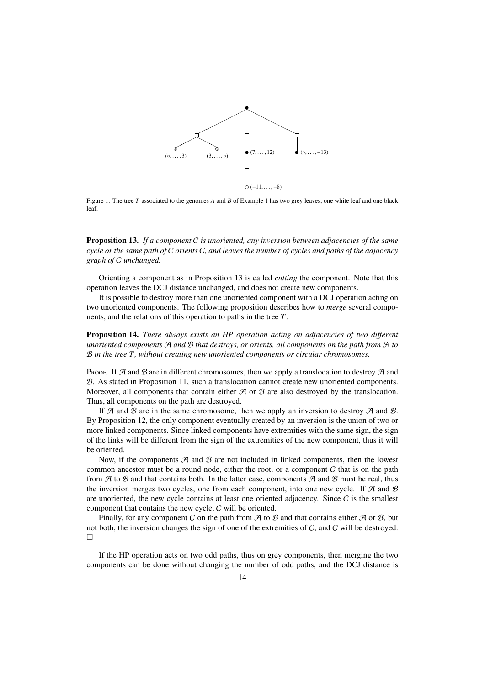

Figure 1: The tree *T* associated to the genomes *A* and *B* of Example 1 has two grey leaves, one white leaf and one black leaf.

Proposition 13. *If a component* C *is unoriented, any inversion between adjacencies of the same cycle or the same path of* C *orients* C*, and leaves the number of cycles and paths of the adjacency graph of* C *unchanged.*

Orienting a component as in Proposition 13 is called *cutting* the component. Note that this operation leaves the DCJ distance unchanged, and does not create new components.

It is possible to destroy more than one unoriented component with a DCJ operation acting on two unoriented components. The following proposition describes how to *merge* several components, and the relations of this operation to paths in the tree *T*.

Proposition 14. *There always exists an HP operation acting on adjacencies of two different unoriented components* A *and* B *that destroys, or orients, all components on the path from* A *to* B *in the tree T, without creating new unoriented components or circular chromosomes.*

PROOF. If A and B are in different chromosomes, then we apply a translocation to destroy A and B. As stated in Proposition 11, such a translocation cannot create new unoriented components. Moreover, all components that contain either  $A$  or  $B$  are also destroyed by the translocation. Thus, all components on the path are destroyed.

If  $A$  and  $B$  are in the same chromosome, then we apply an inversion to destroy  $A$  and  $B$ . By Proposition 12, the only component eventually created by an inversion is the union of two or more linked components. Since linked components have extremities with the same sign, the sign of the links will be different from the sign of the extremities of the new component, thus it will be oriented.

Now, if the components  $A$  and  $B$  are not included in linked components, then the lowest common ancestor must be a round node, either the root, or a component  $C$  that is on the path from  $\mathcal A$  to  $\mathcal B$  and that contains both. In the latter case, components  $\mathcal A$  and  $\mathcal B$  must be real, thus the inversion merges two cycles, one from each component, into one new cycle. If  $A$  and  $B$ are unoriented, the new cycle contains at least one oriented adjacency. Since  $C$  is the smallest component that contains the new cycle, C will be oriented.

Finally, for any component C on the path from  $\mathcal A$  to  $\mathcal B$  and that contains either  $\mathcal A$  or  $\mathcal B$ , but not both, the inversion changes the sign of one of the extremities of C, and C will be destroyed.  $\Box$ 

If the HP operation acts on two odd paths, thus on grey components, then merging the two components can be done without changing the number of odd paths, and the DCJ distance is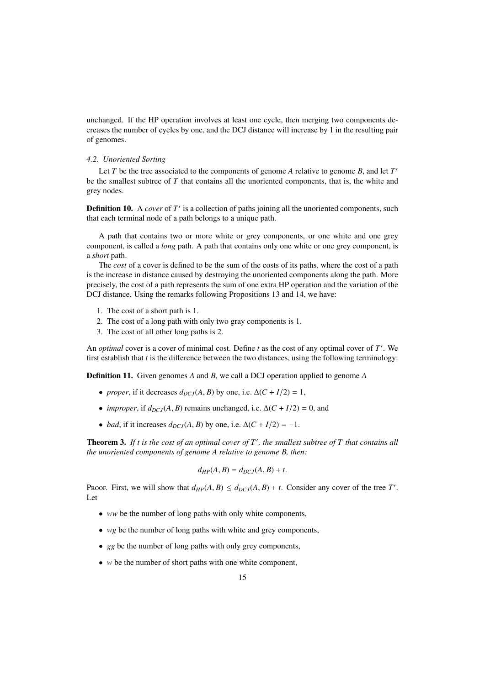unchanged. If the HP operation involves at least one cycle, then merging two components decreases the number of cycles by one, and the DCJ distance will increase by 1 in the resulting pair of genomes.

## *4.2. Unoriented Sorting*

Let *T* be the tree associated to the components of genome *A* relative to genome *B*, and let *T* 0 be the smallest subtree of *T* that contains all the unoriented components, that is, the white and grey nodes.

Definition 10. A *cover* of T' is a collection of paths joining all the unoriented components, such that each terminal node of a path belongs to a unique path.

A path that contains two or more white or grey components, or one white and one grey component, is called a *long* path. A path that contains only one white or one grey component, is a *short* path.

The *cost* of a cover is defined to be the sum of the costs of its paths, where the cost of a path is the increase in distance caused by destroying the unoriented components along the path. More precisely, the cost of a path represents the sum of one extra HP operation and the variation of the DCJ distance. Using the remarks following Propositions 13 and 14, we have:

- 1. The cost of a short path is 1.
- 2. The cost of a long path with only two gray components is 1.
- 3. The cost of all other long paths is 2.

An *optimal* cover is a cover of minimal cost. Define *t* as the cost of any optimal cover of T'. We first establish that *t* is the difference between the two distances, using the following terminology:

Definition 11. Given genomes *A* and *B*, we call a DCJ operation applied to genome *A*

- *proper*, if it decreases  $d_{DCJ}(A, B)$  by one, i.e.  $\Delta(C + I/2) = 1$ ,
- *improper*, if  $d_{DCJ}(A, B)$  remains unchanged, i.e.  $\Delta(C + I/2) = 0$ , and
- *bad*, if it increases  $d_{DCJ}(A, B)$  by one, i.e.  $\Delta(C + I/2) = -1$ .

**Theorem 3.** If t is the cost of an optimal cover of  $T'$ , the smallest subtree of  $T$  that contains all *the unoriented components of genome A relative to genome B, then:*

$$
d_{HP}(A, B) = d_{DCJ}(A, B) + t.
$$

PROOF. First, we will show that  $d_{HP}(A, B) \leq d_{DCJ}(A, B) + t$ . Consider any cover of the tree *T'*. Let

- *ww* be the number of long paths with only white components,
- *wg* be the number of long paths with white and grey components,
- *gg* be the number of long paths with only grey components,
- *w* be the number of short paths with one white component,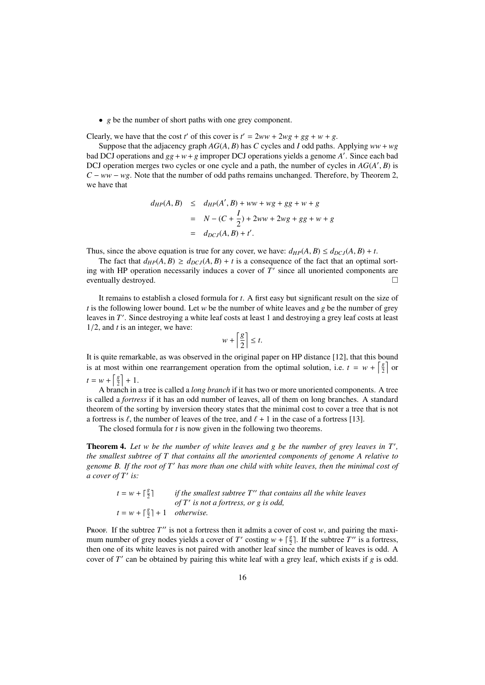• *g* be the number of short paths with one grey component.

Clearly, we have that the cost *t'* of this cover is  $t' = 2ww + 2wg + gg + w + g$ .

Suppose that the adjacency graph  $AG(A, B)$  has *C* cycles and *I* odd paths. Applying  $ww + wg$ bad DCJ operations and  $gg + w + g$  improper DCJ operations yields a genome  $A'$ . Since each bad DCJ operation merges two cycles or one cycle and a path, the number of cycles in  $AG(A', B)$  is  $C = WW = Wg$ . Note that the number of odd paths remains unchanged. Therefore, by Theorem 2. *C* − *ww* − *wg*. Note that the number of odd paths remains unchanged. Therefore, by Theorem 2, we have that

$$
d_{HP}(A, B) \leq d_{HP}(A', B) + ww + wg + gg + w + g
$$
  
=  $N - (C + \frac{1}{2}) + 2ww + 2wg + gg + w + g$   
=  $d_{DCJ}(A, B) + t'.$ 

Thus, since the above equation is true for any cover, we have:  $d_{HP}(A, B) \leq d_{DCJ}(A, B) + t$ .

The fact that  $d_{HP}(A, B) \geq d_{DCJ}(A, B) + t$  is a consequence of the fact that an optimal sorting with HP operation necessarily induces a cover of  $T'$  since all unoriented components are eventually destroyed.

It remains to establish a closed formula for *t*. A first easy but significant result on the size of *t* is the following lower bound. Let *w* be the number of white leaves and *g* be the number of grey leaves in *T'*. Since destroying a white leaf costs at least 1 and destroying a grey leaf costs at least <sup>1</sup>/2, and *<sup>t</sup>* is an integer, we have:

$$
w + \left\lceil \frac{g}{2} \right\rceil \le t.
$$

It is quite remarkable, as was observed in the original paper on HP distance [12], that this bound is at most within one rearrangement operation from the optimal solution, i.e.  $t = w + \frac{g}{2}$  $\frac{g}{2}$  or  $t = w + \left[\frac{g}{2}\right]$  $\frac{g}{2}$  + 1.

A branch in a tree is called a *long branch* if it has two or more unoriented components. A tree is called a *fortress* if it has an odd number of leaves, all of them on long branches. A standard theorem of the sorting by inversion theory states that the minimal cost to cover a tree that is not a fortress is  $\ell$ , the number of leaves of the tree, and  $\ell + 1$  in the case of a fortress [13].

The closed formula for *t* is now given in the following two theorems.

Theorem 4. Let w be the number of white leaves and g be the number of grey leaves in T', *the smallest subtree of T that contains all the unoriented components of genome A relative to genome B. If the root of T*<sup>0</sup> *has more than one child with white leaves, then the minimal cost of a cover of T*<sup>0</sup> *is:*

$$
t = w + \lceil \frac{g}{2} \rceil
$$
 if the smallest subtree T" that contains all the white leaves  
of T' is not a fortrees, or g is odd,  
 $t = w + \lceil \frac{g}{2} \rceil + 1$  otherwise.

PROOF. If the subtree  $T''$  is not a fortress then it admits a cover of cost  $w$ , and pairing the maximum number of grey nodes yields a cover of *T'* costing  $w + \lceil \frac{g}{2} \rceil$  $\frac{g}{2}$ ]. If the subtree *T''* is a fortress, then one of its white leaves is not paired with another leaf since the number of leaves is odd. A cover of  $T'$  can be obtained by pairing this white leaf with a grey leaf, which exists if  $g$  is odd.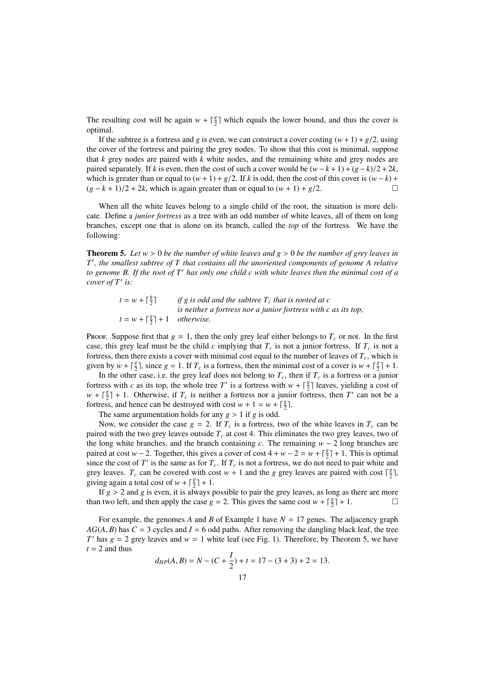The resulting cost will be again  $w + \lceil \frac{g}{2} \rceil$  $\frac{g}{2}$ ] which equals the lower bound, and thus the cover is optimal.

If the subtree is a fortress and *g* is even, we can construct a cover costing  $(w + 1) + g/2$ , using the cover of the fortress and pairing the grey nodes. To show that this cost is minimal, suppose that *k* grey nodes are paired with *k* white nodes, and the remaining white and grey nodes are paired separately. If *k* is even, then the cost of such a cover would be  $(w-k+1) + (g-k)/2 + 2k$ , which is greater than or equal to  $(w + 1) + g/2$ . If *k* is odd, then the cost of this cover is  $(w - k) + (g - k + 1)/2 + 2k$ , which is again greater than or equal to  $(w + 1) + g/2$ .  $(g - k + 1)/2 + 2k$ , which is again greater than or equal to  $(w + 1) + g/2$ .

When all the white leaves belong to a single child of the root, the situation is more delicate. Define a *junior fortress* as a tree with an odd number of white leaves, all of them on long branches, except one that is alone on its branch, called the *top* of the fortress. We have the following:

Theorem 5. *Let w* > <sup>0</sup> *be the number of white leaves and g* > <sup>0</sup> *be the number of grey leaves in T*', the smallest subtree of *T* that contains all the unoriented components of genome A relative *to genome B. If the root of T*<sup>0</sup> *has only one child c with white leaves then the minimal cost of a cover of T*<sup>0</sup> *is:*

 $t = w + \lceil \frac{g}{2} \rceil$ 2 e *if g is odd and the subtree T<sup>c</sup> that is rooted at c is neither a fortress nor a junior fortress with c as its top,*  $t = w + \lceil \frac{g}{2} \rceil$  $\frac{g}{2}$ ] + 1 *otherwise.* 

PROOF. Suppose first that  $g = 1$ , then the only grey leaf either belongs to  $T_c$  or not. In the first case, this grey leaf must be the child  $c$  implying that  $T_c$  is not a junior fortress. If  $T_c$  is not a fortress, then there exists a cover with minimal cost equal to the number of leaves of *Tc*, which is given by  $w + \lceil \frac{g}{2} \rceil$  $\frac{g}{2}$ , since *g* = 1. If *T<sub>c</sub>* is a fortress, then the minimal cost of a cover is *w* +  $\lceil \frac{g}{2} \rceil$  $\frac{g}{2}$ ] + 1.

In the other case, i.e. the grey leaf does not belong to  $T_c$ , then if  $T_c$  is a fortress or a junior fortress with *c* as its top, the whole tree *T'* is a fortress with  $w + \lceil \frac{g}{2} \rceil$  $\frac{g}{2}$ ] leaves, yielding a cost of  $w + \lceil \frac{g}{2} \rceil$  $\frac{g}{2}$  + 1. Otherwise, if  $T_c$  is neither a fortress nor a junior fortress, then *T'* can not be a fortress, and hence can be destroyed with cost  $w + 1 = w + \lceil \frac{g}{2} \rceil$  $\frac{g}{2}$ ].

The same argumentation holds for any  $g > 1$  if  $g$  is odd.

Now, we consider the case  $g = 2$ . If  $T_c$  is a fortress, two of the white leaves in  $T_c$  can be paired with the two grey leaves outside  $T_c$  at cost 4. This eliminates the two grey leaves, two of the long white branches, and the branch containing *c*. The remaining *w* − 2 long branches are paired at cost *w* − 2. Together, this gives a cover of cost 4 + *w* − 2 = *w* +  $\lceil \frac{8}{2} \rceil$  $\frac{g}{2}$ ] + 1. This is optimal since the cost of  $T'$  is the same as for  $T_c$ . If  $T_c$  is not a fortress, we do not need to pair white and grey leaves.  $T_c$  can be covered with cost  $w + 1$  and the *g* grey leaves are paired with cost  $\lceil \frac{g}{2} \rceil$  $\frac{g}{2}$ ], giving again a total cost of  $w + \lceil \frac{g}{2} \rceil$  $\frac{g}{2}$ ] + 1.

If  $g > 2$  and  $g$  is even, it is always possible to pair the grey leaves, as long as there are more than two left, and then apply the case  $g = 2$ . This gives the same cost  $w + \lceil \frac{g}{2} \rceil$  $\frac{g}{2}$  + 1.

For example, the genomes *A* and *B* of Example 1 have  $N = 17$  genes. The adjacency graph  $AG(A, B)$  has  $C = 3$  cycles and  $I = 6$  odd paths. After removing the dangling black leaf, the tree  $T'$  has  $g = 2$  grey leaves and  $w = 1$  white leaf (see Fig. 1). Therefore, by Theorem 5, we have  $t = 2$  and thus

$$
d_{HP}(A, B) = N - (C + \frac{I}{2}) + t = 17 - (3 + 3) + 2 = 13.
$$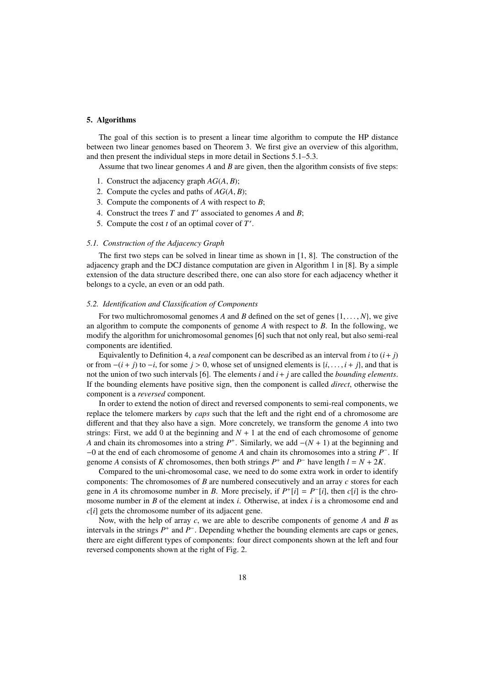## 5. Algorithms

The goal of this section is to present a linear time algorithm to compute the HP distance between two linear genomes based on Theorem 3. We first give an overview of this algorithm, and then present the individual steps in more detail in Sections 5.1–5.3.

Assume that two linear genomes *A* and *B* are given, then the algorithm consists of five steps:

- 1. Construct the adjacency graph *AG*(*A*, *<sup>B</sup>*);
- 2. Compute the cycles and paths of *AG*(*A*, *<sup>B</sup>*);
- 3. Compute the components of *A* with respect to *B*;
- 4. Construct the trees  $T$  and  $T'$  associated to genomes  $A$  and  $B$ ;
- 5. Compute the cost  $t$  of an optimal cover of  $T'$ .

#### *5.1. Construction of the Adjacency Graph*

The first two steps can be solved in linear time as shown in [1, 8]. The construction of the adjacency graph and the DCJ distance computation are given in Algorithm 1 in [8]. By a simple extension of the data structure described there, one can also store for each adjacency whether it belongs to a cycle, an even or an odd path.

#### *5.2. Identification and Classification of Components*

For two multichromosomal genomes *<sup>A</sup>* and *<sup>B</sup>* defined on the set of genes {1, . . . , *<sup>N</sup>*}, we give an algorithm to compute the components of genome *A* with respect to *B*. In the following, we modify the algorithm for unichromosomal genomes [6] such that not only real, but also semi-real components are identified.

Equivalently to Definition 4, a *real* component can be described as an interval from *i* to  $(i + j)$ or from  $-(i + j)$  to  $-i$ , for some  $j > 0$ , whose set of unsigned elements is  $\{i, \ldots, i + j\}$ , and that is not the union of two such intervals [6]. The elements *i* and *i*+ *j* are called the *bounding elements*. If the bounding elements have positive sign, then the component is called *direct*, otherwise the component is a *reversed* component.

In order to extend the notion of direct and reversed components to semi-real components, we replace the telomere markers by *caps* such that the left and the right end of a chromosome are different and that they also have a sign. More concretely, we transform the genome *A* into two strings: First, we add 0 at the beginning and  $N + 1$  at the end of each chromosome of genome *A* and chain its chromosomes into a string  $P^+$ . Similarly, we add −(*N* + 1) at the beginning and −0 at the end of each chromosome of genome *A* and chain its chromosomes into a string *P* − . If genome *A* consists of *K* chromosomes, then both strings  $P^+$  and  $P^-$  have length  $l = N + 2K$ .

Compared to the uni-chromosomal case, we need to do some extra work in order to identify components: The chromosomes of *B* are numbered consecutively and an array *c* stores for each gene in *A* its chromosome number in *B*. More precisely, if  $P^+[i] = P^-[i]$ , then  $c[i]$  is the chromosome number in *B* of the element at index *i*. Otherwise, at index *i* is a chromosome end and *c*[*i*] gets the chromosome number of its adjacent gene.

Now, with the help of array *c*, we are able to describe components of genome *A* and *B* as intervals in the strings  $P^+$  and  $P^-$ . Depending whether the bounding elements are caps or genes, there are eight different types of components: four direct components shown at the left and four reversed components shown at the right of Fig. 2.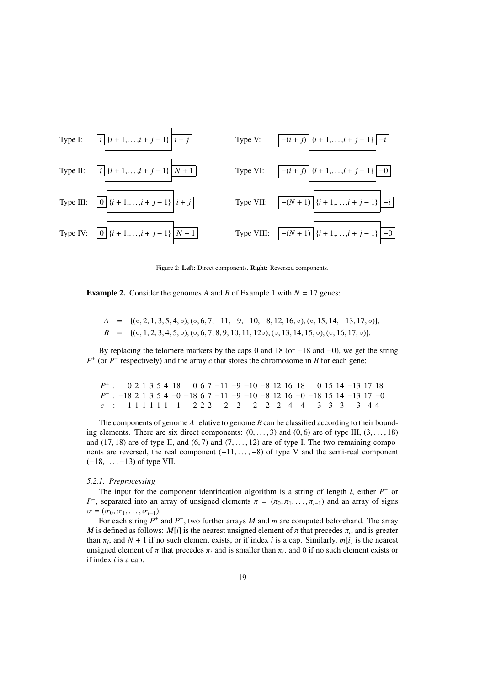

Figure 2: Left: Direct components. Right: Reversed components.

**Example 2.** Consider the genomes *A* and *B* of Example 1 with  $N = 17$  genes:

$$
A = \{ (\circ, 2, 1, 3, 5, 4, \circ), (\circ, 6, 7, -11, -9, -10, -8, 12, 16, \circ), (\circ, 15, 14, -13, 17, \circ) \},
$$
  
\n
$$
B = \{ (\circ, 1, 2, 3, 4, 5, \circ), (\circ, 6, 7, 8, 9, 10, 11, 12\circ), (\circ, 13, 14, 15, \circ), (\circ, 16, 17, \circ) \}.
$$

By replacing the telomere markers by the caps 0 and 18 (or −18 and −0), we get the string  $P^+$  (or  $P^-$  respectively) and the array *c* that stores the chromosome in *B* for each gene:

|  |  |  |  |  |  |  | $P^+$ : 0 2 1 3 5 4 18 0 6 7 -11 -9 -10 -8 12 16 18 0 15 14 -13 17 18       |  |  |  |  |  |
|--|--|--|--|--|--|--|-----------------------------------------------------------------------------|--|--|--|--|--|
|  |  |  |  |  |  |  | $P^-$ : -18 2 1 3 5 4 -0 -18 6 7 -11 -9 -10 -8 12 16 -0 -18 15 14 -13 17 -0 |  |  |  |  |  |
|  |  |  |  |  |  |  | $c$ : 1 1 1 1 1 1 1 2 2 2 2 2 2 2 2 4 4 3 3 3 3 4 4                         |  |  |  |  |  |

The components of genome *A* relative to genome *B* can be classified according to their bounding elements. There are six direct components:  $(0, \ldots, 3)$  and  $(0, 6)$  are of type III,  $(3, \ldots, 18)$ and  $(17, 18)$  are of type II, and  $(6, 7)$  and  $(7, \ldots, 12)$  are of type I. The two remaining components are reversed, the real component (−11, ..., −8) of type V and the semi-real component  $(-18, \ldots, -13)$  of type VII.

#### *5.2.1. Preprocessing*

The input for the component identification algorithm is a string of length  $l$ , either  $P^+$  or *P*<sup>-</sup>, separated into an array of unsigned elements  $\pi = (\pi_0, \pi_1, ..., \pi_{l-1})$  and an array of signs  $\sigma = (\sigma_0, \sigma_1, ..., \sigma_{l-1})$  $\sigma = (\sigma_0, \sigma_1, \ldots, \sigma_{l-1}).$ 

For each string *P*<sup>+</sup> and *P*<sup>−</sup>, two further arrays *M* and *m* are computed beforehand. The array *M* is defined as follows: *M*[*i*] is the nearest unsigned element of  $\pi$  that precedes  $\pi_i$ , and is greater than  $\pi_i$ , and  $N + 1$  if no such element exists, or if index *i* is a can. Similarly, *m*[*i*] is the neares than  $\pi_i$ , and  $N + 1$  if no such element exists, or if index *i* is a cap. Similarly,  $m[i]$  is the nearest<br>unsigned element of  $\pi$  that precedes  $\pi_i$  and is smaller than  $\pi_j$ , and 0 if no such element exists or unsigned element of  $\pi$  that precedes  $\pi_i$  and is smaller than  $\pi_i$ , and 0 if no such element exists or if index *i* is a can if index *i* is a cap.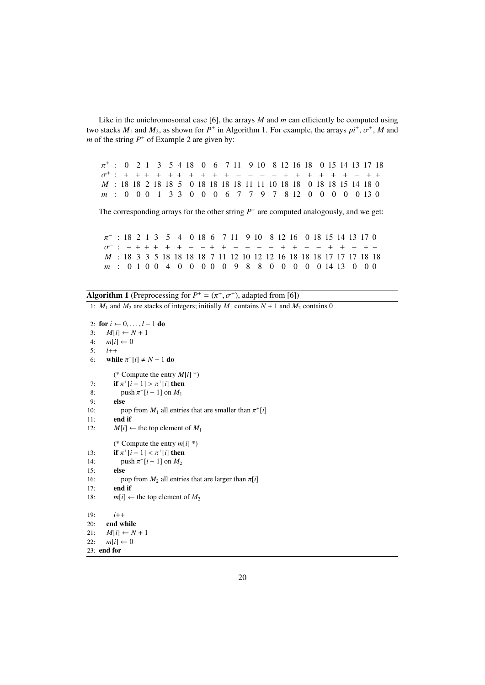Like in the unichromosomal case [6], the arrays *M* and *m* can efficiently be computed using two stacks  $M_1$  and  $M_2$ , as shown for  $P^+$  in Algorithm 1. For example, the arrays  $pi^+$ ,  $\sigma^+$ ,  $M$  and  $m$  of the string  $P^+$  of Example 2 are given by: *m* of the string  $P^+$  of Example 2 are given by:

 $\sigma^+$ + : 0 2 1 3 5 4 18 0 6 7 11 9 10 8 12 16 18 0 15 14 13 17 18 *M* : 18 18 2 18 18 5 0 18 18 18 18 11 11 10 18 18 0 18 18 15 14 18 0 : + + + + + + + + + + − − − − + + + + + + − + + *m* : 0 0 0 1 3 3 0 0 0 6 7 7 9 7 8 12 0 0 0 0 0 13 0 The corresponding arrays for the other string  $P^-$  are computed analogously, and we get:  $\pi^-$  : 18 2 1 3 5 : 18 2 1 3 5 4 0 18 6 7 11 9 10 8 12 16 0 18 15 14 13 17 0

 $π<sup>−</sup>$ *M* : 18 3 3 5 18 18 18 18 7 11 12 10 12 12 16 18 18 18 17 17 17 18 18 : − + + + + + − − + + − − − − + + − − + + − + − *m* : 0 1 0 0 4 0 0 0 0 0 9 8 8 0 0 0 0 0 14 13 0 0 0

**Algorithm 1** (Preprocessing for  $P^+ = (\pi^+, \sigma^+)$ , adapted from [6])

| 1: $M_1$ and $M_2$ are stacks of integers; initially $M_1$ contains $N + 1$ and $M_2$ contains 0 |  |
|--------------------------------------------------------------------------------------------------|--|
| 2: for $i \leftarrow 0, \ldots, l-1$ do                                                          |  |
| 3: $M[i] \leftarrow N+1$                                                                         |  |

```
4: m[i] \leftarrow 05: i++
 6: while \pi^+[i] \neq N+1 do
          (* Compute the entry M[i] *)
 7: if \pi^+[i-1] > \pi^+[i] then<br>8: \lim_{n \to \infty} \pi^+[i-1] on M.
 8: push \pi^+[i-1] on M_1<br>o. else
 9: else
10: pop from M_1 all entries that are smaller than \pi^+ [i]<br>11: end if
11: end if
12: M[i] \leftarrow the top element of M_1(* Compute the entry m[i] *)
13: if \pi^+[i-1] < \pi^+[i] then<br>
\max_{i=1}^{\infty} then
14: push \pi^+[i-1] on M_2<br>15: else
15: else
16: pop from M_2 all entries that are larger than \pi[i]<br>17: end if
          end if
18: m[i] \leftarrow the top element of M_219: i++
20: end while
21: M[i] \leftarrow N + 122: m[i] \leftarrow 0
```

```
23: end for
```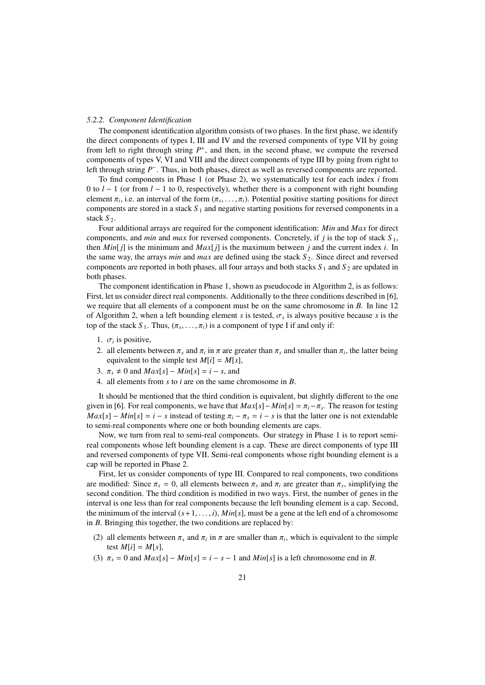#### *5.2.2. Component Identification*

The component identification algorithm consists of two phases. In the first phase, we identify the direct components of types I, III and IV and the reversed components of type VII by going from left to right through string  $P^+$ , and then, in the second phase, we compute the reversed components of types V, VI and VIII and the direct components of type III by going from right to left through string  $P^-$ . Thus, in both phases, direct as well as reversed components are reported.

To find components in Phase 1 (or Phase 2), we systematically test for each index *i* from 0 to *l* − 1 (or from *l* − 1 to 0, respectively), whether there is a component with right bounding element  $\pi_i$ , i.e. an interval of the form  $(\pi_s, \dots, \pi_i)$ . Potential positive starting positions for direct components are stored in a stack  $S_i$ , and negative starting positions for reversed components in a components are stored in a stack  $S_1$  and negative starting positions for reversed components in a stack *S*<sub>2</sub>.

Four additional arrays are required for the component identification: *Min* and *Max* for direct components, and *min* and *max* for reversed components. Concretely, if *j* is the top of stack *S* <sup>1</sup>, then  $Min[j]$  is the minimum and  $Max[j]$  is the maximum between *j* and the current index *i*. In the same way, the arrays *min* and *max* are defined using the stack *S* <sup>2</sup>. Since direct and reversed components are reported in both phases, all four arrays and both stacks  $S_1$  and  $S_2$  are updated in both phases.

The component identification in Phase 1, shown as pseudocode in Algorithm 2, is as follows: First, let us consider direct real components. Additionally to the three conditions described in [6], we require that all elements of a component must be on the same chromosome in *B*. In line 12 of Algorithm 2, when a left bounding element *s* is tested,  $\sigma_s$  is always positive because *s* is the top of the stack *S*. Thus  $(\pi - \pi)$  is a component of type I if and only if: top of the stack  $S_1$ . Thus,  $(\pi_s, \dots, \pi_i)$  is a component of type I if and only if:

- 1.  $\sigma_i$  is positive,
- 2. all elements between  $\pi_s$  and  $\pi_i$  in  $\pi$  are greater than  $\pi_s$  and smaller than  $\pi_i$ , the latter being equivalent to the simple test  $M[i] = M[s]$ equivalent to the simple test  $M[i] = M[s]$ ,
- 3.  $\pi_s \neq 0$  and  $Max[s] Min[s] = i s$ , and
- 4. all elements from *s* to *i* are on the same chromosome in *B*.

It should be mentioned that the third condition is equivalent, but slightly different to the one given in [6]. For real components, we have that  $Max[s] - Min[s] = \pi_i - \pi_s$ . The reason for testing  $Max[s] - Min[s] = i - s$  instead of testing  $\pi_i - \pi_i = i - s$  is that the latter one is not extendable  $Max[s] - Min[s] = i - s$  instead of testing  $\pi_i - \pi_s = i - s$  is that the latter one is not extendable to semi-real components where one or both bounding elements are caps.

Now, we turn from real to semi-real components. Our strategy in Phase 1 is to report semireal components whose left bounding element is a cap. These are direct components of type III and reversed components of type VII. Semi-real components whose right bounding element is a cap will be reported in Phase 2.

First, let us consider components of type III. Compared to real components, two conditions are modified: Since  $\pi_s = 0$ , all elements between  $\pi_s$  and  $\pi_i$  are greater than  $\pi_s$ , simplifying the second condition. The third condition is modified in two ways. First, the number of genes in the second condition. The third condition is modified in two ways. First, the number of genes in the interval is one less than for real components because the left bounding element is a cap. Second, the minimum of the interval  $(s+1, \ldots, i)$ ,  $Min[s]$ , must be a gene at the left end of a chromosome in *B*. Bringing this together, the two conditions are replaced by:

- (2) all elements between  $\pi_s$  and  $\pi_i$  in  $\pi$  are smaller than  $\pi_i$ , which is equivalent to the simple test  $M[i] M[s]$ test  $M[i] = M[s]$ ,
- (3)  $\pi_s = 0$  and  $Max[s] Min[s] = i s 1$  and  $Min[s]$  is a left chromosome end in *B*.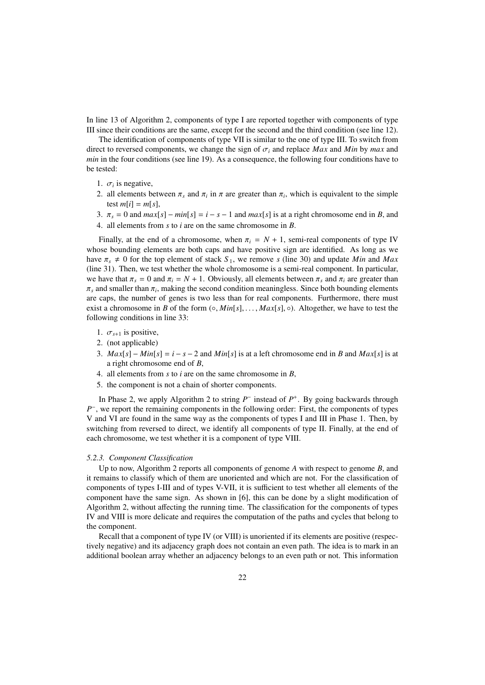In line 13 of Algorithm 2, components of type I are reported together with components of type III since their conditions are the same, except for the second and the third condition (see line 12).

The identification of components of type VII is similar to the one of type III. To switch from direct to reversed components, we change the sign of  $\sigma_i$  and replace *Max* and *Min* by *max* and *min* in the four conditions (see line 19). As a consequence, the following four conditions have to be tested:

- 1.  $\sigma_i$  is negative,
- 2. all elements between  $\pi_s$  and  $\pi_i$  in  $\pi$  are greater than  $\pi_i$ , which is equivalent to the simple test  $m[i] = m[s]$ test  $m[i] = m[s]$ ,
- 3.  $\pi_s = 0$  and  $max[s] min[s] = i s 1$  and  $max[s]$  is at a right chromosome end in *B*, and
- 4. all elements from *s* to *i* are on the same chromosome in *B*.

Finally, at the end of a chromosome, when  $\pi_i = N + 1$ , semi-real components of type IV whose bounding elements are both caps and have positive sign are identified. As long as we have  $\pi_s \neq 0$  for the top element of stack  $S_1$ , we remove *s* (line 30) and update *Min* and *Max* (line 31). Then, we test whether the whole chromosome is a semi-real component. In particular, we have that  $\pi_s = 0$  and  $\pi_i = N + 1$ . Obviously, all elements between  $\pi_s$  and  $\pi_i$  are greater than  $\pi_s$  and smaller than  $\pi_i$ , making the second condition meaningless. Since both bounding elements are cans, the number of genes is two less than for real components. Furthermore, there must are caps, the number of genes is two less than for real components. Furthermore, there must exist a chromosome in *B* of the form  $(\circ, Min[s], \ldots, Max[s], \circ)$ . Altogether, we have to test the following conditions in line 33:

- 1.  $\sigma_{s+1}$  is positive,
- 2. (not applicable)
- 3.  $Max[s] Min[s] = i s 2$  and  $Min[s]$  is at a left chromosome end in *B* and  $Max[s]$  is at a right chromosome end of *B*,
- 4. all elements from *s* to *i* are on the same chromosome in *B*,
- 5. the component is not a chain of shorter components.

In Phase 2, we apply Algorithm 2 to string  $P^-$  instead of  $P^+$ . By going backwards through *P*<sup>−</sup>, we report the remaining components in the following order: First, the components of types V and VI are found in the same way as the components of types I and III in Phase 1. Then, by switching from reversed to direct, we identify all components of type II. Finally, at the end of each chromosome, we test whether it is a component of type VIII.

#### *5.2.3. Component Classification*

Up to now, Algorithm 2 reports all components of genome *A* with respect to genome *B*, and it remains to classify which of them are unoriented and which are not. For the classification of components of types I-III and of types V-VII, it is sufficient to test whether all elements of the component have the same sign. As shown in [6], this can be done by a slight modification of Algorithm 2, without affecting the running time. The classification for the components of types IV and VIII is more delicate and requires the computation of the paths and cycles that belong to the component.

Recall that a component of type IV (or VIII) is unoriented if its elements are positive (respectively negative) and its adjacency graph does not contain an even path. The idea is to mark in an additional boolean array whether an adjacency belongs to an even path or not. This information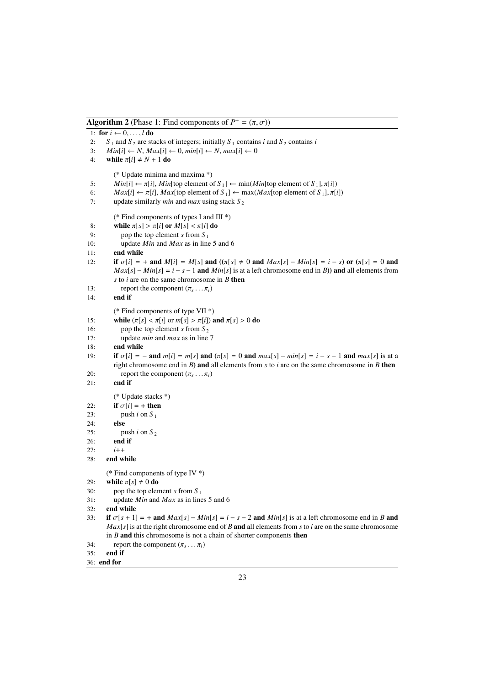**Algorithm 2** (Phase 1: Find components of  $P^+ = (\pi, \sigma)$ ) 1: for  $i \leftarrow 0, \ldots, l$  do<br>2:  $S_1$  and  $S_2$  are st.  $S_1$  and  $S_2$  are stacks of integers; initially  $S_1$  contains *i* and  $S_2$  contains *i* 3:  $Min[i] \leftarrow N, Max[i] \leftarrow 0, min[i] \leftarrow N, max[i] \leftarrow 0$ 4: while  $\pi[i] \neq N + 1$  do (\* Update minima and maxima \*) 5:  $Min[i] \leftarrow \pi[i], Min[top element of S_1] \leftarrow min(Min[top element of S_1], \pi[i])$ <br>6:  $Max[i] \leftarrow \pi[i], Max[top element of S_1] \leftarrow max(Max[top element of S_1], \pi[i])$ 6:  $Max[i] \leftarrow \pi[i]$ ,  $Max[top$  element of  $S_1$ ]  $\leftarrow max(Max[top$  element of  $S_1$ ],  $\pi[i]$ )<br>7: update similarly *min* and *max* using stack  $S_2$ update similarly *min* and *max* using stack  $S_2$ (\* Find components of types I and III \*) 8: while  $\pi[s] > \pi[i]$  or  $M[s] < \pi[i]$  do<br>9: pop the top element *s* from  $S_1$ pop the top element  $s$  from  $S_1$ 10: update *Min* and *Max* as in line 5 and 6 11: end while 12: if  $\sigma[i] = +$  and  $M[i] = M[s]$  and  $((\pi[s] \neq 0 \text{ and } \text{Max}[s] - \text{Min}[s] = i - s)$  or  $(\pi[s] = 0 \text{ and } \text{max}[s] = i - s)$  $Max[s] - Min[s] = i - s - 1$  and  $Min[s]$  is at a left chromosome end in *B*)) and all elements from *s* to *i* are on the same chromosome in *B* then 13: report the component  $(\pi_s \dots \pi_i)$ <br>
14: **end if** 14: end if (\* Find components of type VII \*) 15: **while**  $(\pi[s] < \pi[i] \text{ or } m[s] > \pi[i])$  and  $\pi[s] > 0$  do 16: pop the top element *s* from *S*<sub>2</sub> pop the top element  $s$  from  $S_2$ 17: update *min* and *max* as in line 7 18: end while 19: if  $\sigma[i] = -$  and  $m[i] = m[s]$  and  $(\pi[s] = 0$  and  $max[s] - min[s] = i - s - 1$  and  $max[s]$  is at a right chromosome end in *B*) and all elements from *s* to *i* are on the same chromosome in *B* then 20: report the component  $(\pi_s \dots \pi_i)$ <br>
21: **end if** 21: end if (\* Update stacks \*) 22: **if**  $\sigma[i] = +$  **then**<br>23: **b**  $\sigma[i]$  **c**  $\sigma$ push  $i$  on  $S_1$ 24: else 25: push  $i$  on  $S_2$ <br>26: **end if** end if 27: *i*++ 28: end while (\* Find components of type IV \*) 29: **while**  $\pi[s] \neq 0$  do 30: pop the top elem pop the top element  $s$  from  $S_1$ 31: update *Min* and *Max* as in lines 5 and 6 32: end while 33: if  $\sigma[s+1] = +$  and  $Max[s] - Min[s] = i - s - 2$  and  $Min[s]$  is at a left chromosome end in *B* and *Max*[*s*] is at the right chromosome end of *B* and all elements from *s* to *i* are on the same chromosome in *B* and this chromosome is not a chain of shorter components then 34: report the component  $(\pi_s \dots \pi_i)$ <br>
35: **and if** 35: end if 36: end for

23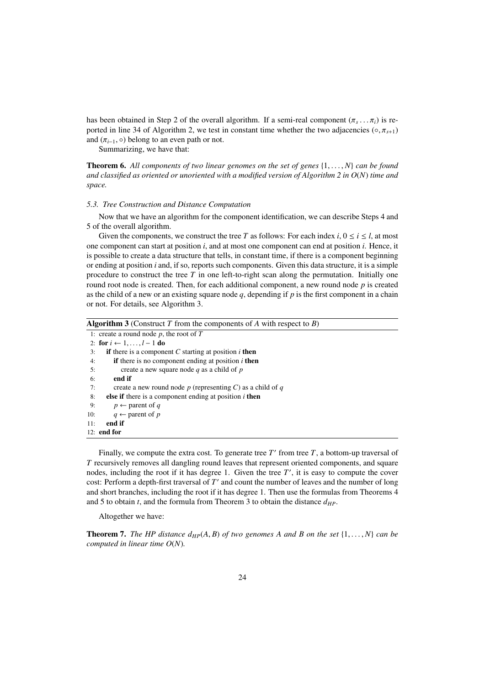has been obtained in Step 2 of the overall algorithm. If a semi-real component  $(\pi_s \dots \pi_i)$  is re-<br>ported in line 34 of Algorithm 2, we test in constant time whether the two adjacencies ( $\alpha \pi$ .) ported in line 34 of Algorithm 2, we test in constant time whether the two adjacencies ( $\circ$ ,  $\pi$ <sub>s+1</sub>) and  $(\pi_{i-1}, \circ)$  belong to an even path or not.

Summarizing, we have that:

Theorem 6. *All components of two linear genomes on the set of genes* {1, . . . , *<sup>N</sup>*} *can be found and classified as oriented or unoriented with a modified version of Algorithm 2 in O*(*N*) *time and space.*

#### *5.3. Tree Construction and Distance Computation*

Now that we have an algorithm for the component identification, we can describe Steps 4 and 5 of the overall algorithm.

Given the components, we construct the tree *T* as follows: For each index *i*,  $0 \le i \le l$ , at most one component can start at position *i*, and at most one component can end at position *i*. Hence, it is possible to create a data structure that tells, in constant time, if there is a component beginning or ending at position *i* and, if so, reports such components. Given this data structure, it is a simple procedure to construct the tree *T* in one left-to-right scan along the permutation. Initially one round root node is created. Then, for each additional component, a new round node *p* is created as the child of a new or an existing square node  $q$ , depending if  $p$  is the first component in a chain or not. For details, see Algorithm 3.

| <b>Algorithm 3</b> (Construct T from the components of A with respect to B) |  |  |  |  |  |  |  |
|-----------------------------------------------------------------------------|--|--|--|--|--|--|--|
| 1: create a round node $p$ , the root of T                                  |  |  |  |  |  |  |  |
| 2: for $i \leftarrow 1, \ldots, l-1$ do                                     |  |  |  |  |  |  |  |
| <b>if</b> there is a component C starting at position $i$ then<br>3:        |  |  |  |  |  |  |  |
| if there is no component ending at position $i$ then<br>4:                  |  |  |  |  |  |  |  |
| create a new square node q as a child of $p$<br>5:                          |  |  |  |  |  |  |  |
| end if<br>6:                                                                |  |  |  |  |  |  |  |
| create a new round node p (representing C) as a child of q<br>7:            |  |  |  |  |  |  |  |
| else if there is a component ending at position $i$ then<br>8:              |  |  |  |  |  |  |  |
| $p \leftarrow$ parent of q<br>9:                                            |  |  |  |  |  |  |  |
| $q \leftarrow$ parent of p<br>10:                                           |  |  |  |  |  |  |  |
| end if<br>11:                                                               |  |  |  |  |  |  |  |
| $12:$ end for                                                               |  |  |  |  |  |  |  |
|                                                                             |  |  |  |  |  |  |  |

Finally, we compute the extra cost. To generate tree  $T'$  from tree  $T$ , a bottom-up traversal of *T* recursively removes all dangling round leaves that represent oriented components, and square nodes, including the root if it has degree 1. Given the tree  $T'$ , it is easy to compute the cover cost: Perform a depth-first traversal of  $T'$  and count the number of leaves and the number of long and short branches, including the root if it has degree 1. Then use the formulas from Theorems 4 and 5 to obtain *t*, and the formula from Theorem 3 to obtain the distance  $d_{HP}$ .

Altogether we have:

**Theorem 7.** *The HP distance*  $d_{HP}(A, B)$  *of two genomes A and B on the set*  $\{1, \ldots, N\}$  *can be computed in linear time O*(*N*)*.*